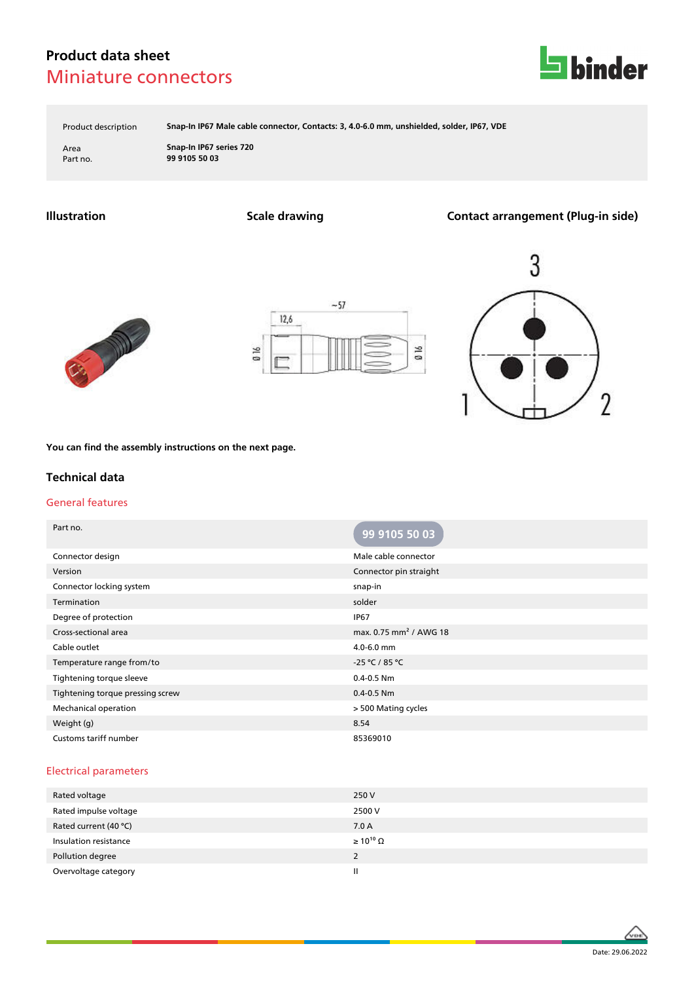# **Product data sheet** Miniature connectors



Product description **Snap-In IP67 Male cable connector, Contacts: 3, 4.0-6.0 mm, unshielded, solder, IP67, VDE**

Area **Snap-In IP67 series 720** Part no. **99 9105 50 03**

**Illustration Scale drawing Contact arrangement (Plug-in side)**







**You can find the assembly instructions on the next page.**

### **Technical data**

#### General features

| Part no.                         | 99 9105 50 03                      |
|----------------------------------|------------------------------------|
| Connector design                 | Male cable connector               |
| Version                          | Connector pin straight             |
| Connector locking system         | snap-in                            |
| Termination                      | solder                             |
| Degree of protection             | <b>IP67</b>                        |
| Cross-sectional area             | max. 0.75 mm <sup>2</sup> / AWG 18 |
| Cable outlet                     | 4.0-6.0 mm                         |
| Temperature range from/to        | $-25 °C / 85 °C$                   |
| Tightening torque sleeve         | $0.4 - 0.5$ Nm                     |
| Tightening torque pressing screw | $0.4 - 0.5$ Nm                     |
| <b>Mechanical operation</b>      | > 500 Mating cycles                |
| Weight (g)                       | 8.54                               |
| Customs tariff number            | 85369010                           |

#### Electrical parameters

| Rated voltage         | 250 V                 |
|-----------------------|-----------------------|
| Rated impulse voltage | 2500 V                |
| Rated current (40 °C) | 7.0A                  |
| Insulation resistance | $\geq 10^{10} \Omega$ |
| Pollution degree      | 2                     |
| Overvoltage category  | Ш                     |

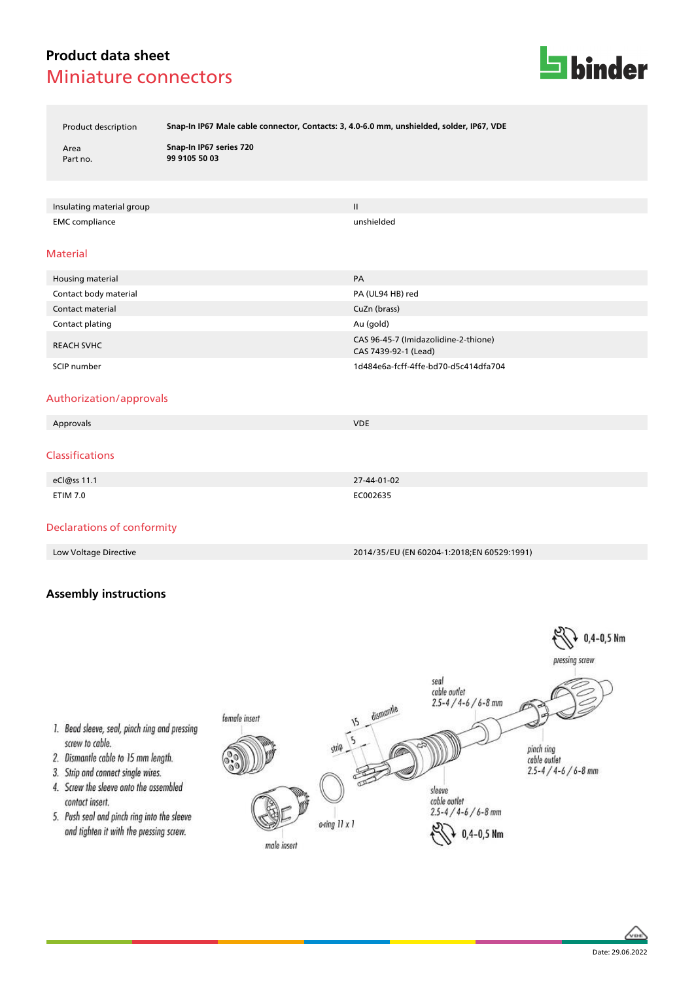# **Product data sheet** Miniature connectors



Product description **Snap-In IP67 Male cable connector, Contacts: 3, 4.0-6.0 mm, unshielded, solder, IP67, VDE**

Area **Snap-In IP67 series 720** Part no. **99 9105 50 03**

Insulating material group II and the control of the control of the control of the control of the control of the control of the control of the control of the control of the control of the control of the control of the contr EMC compliance unshielded

#### Material

| Housing material      | PA                                                           |
|-----------------------|--------------------------------------------------------------|
| Contact body material | PA (UL94 HB) red                                             |
| Contact material      | CuZn (brass)                                                 |
| Contact plating       | Au (gold)                                                    |
| <b>REACH SVHC</b>     | CAS 96-45-7 (Imidazolidine-2-thione)<br>CAS 7439-92-1 (Lead) |
| SCIP number           | 1d484e6a-fcff-4ffe-bd70-d5c414dfa704                         |

#### Authorization/approvals

| Approvals       | <b>VDE</b>  |
|-----------------|-------------|
| Classifications |             |
| eCl@ss 11.1     | 27-44-01-02 |
| <b>ETIM 7.0</b> | EC002635    |

### Declarations of conformity

Low Voltage Directive 2014/35/EU (EN 60204-1:2018;EN 60529:1991)

### **Assembly instructions**





- 1. Bead sleeve, seal, pinch ring and pressing screw to cable.
- 2. Dismantle cable to 15 mm length.
- 3. Strip and connect single wires.
- 4. Screw the sleeve onto the assembled contact insert.
- 5. Push seal and pinch ring into the sleeve and tighten it with the pressing screw.